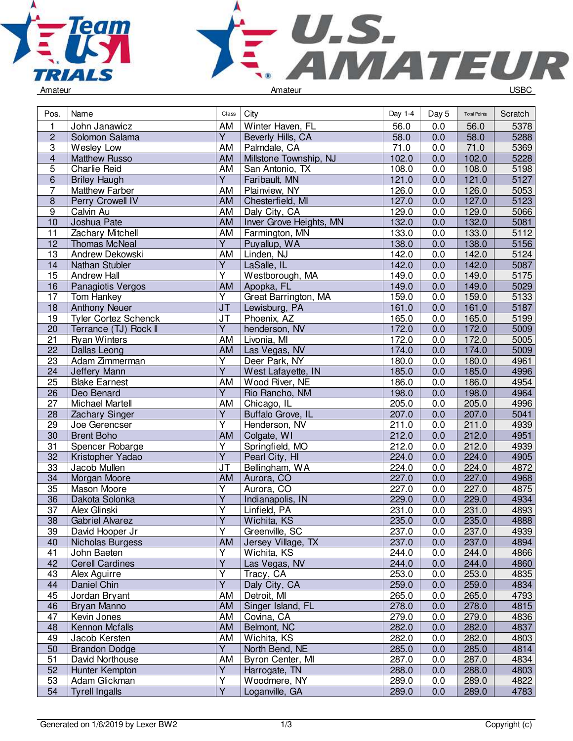



| Pos.            | Name                        | Class                   | City                    | Day 1-4 | Day 5 | <b>Total Points</b> | Scratch |
|-----------------|-----------------------------|-------------------------|-------------------------|---------|-------|---------------------|---------|
| $\mathbf{1}$    | John Janawicz               | AM                      | Winter Haven, FL        | 56.0    | 0.0   | 56.0                | 5378    |
| $\overline{2}$  | Solomon Salama              | $\overline{Y}$          | Beverly Hills, CA       | 58.0    | 0.0   | 58.0                | 5288    |
| 3               | Wesley Low                  | AM                      | Palmdale, CA            | 71.0    | 0.0   | 71.0                | 5369    |
| $\overline{4}$  | <b>Matthew Russo</b>        | <b>AM</b>               | Millstone Township, NJ  | 102.0   | 0.0   | 102.0               | 5228    |
| $\overline{5}$  | <b>Charlie Reid</b>         | AM                      | San Antonio, TX         | 108.0   | 0.0   | 108.0               | 5198    |
| $\overline{6}$  | <b>Briley Haugh</b>         | $\overline{Y}$          | Faribault, MN           | 121.0   | 0.0   | 121.0               | 5127    |
| $\overline{7}$  | <b>Matthew Farber</b>       | AM                      | Plainview, NY           | 126.0   | 0.0   | 126.0               | 5053    |
| $\bf 8$         | Perry Crowell IV            | <b>AM</b>               | Chesterfield, MI        | 127.0   | 0.0   | 127.0               | 5123    |
| $\overline{9}$  | Calvin Au                   | AM                      | Daly City, CA           | 129.0   | 0.0   | 129.0               | 5066    |
| 10              | Joshua Pate                 | AM                      | Inver Grove Heights, MN | 132.0   | 0.0   | 132.0               | 5081    |
| 11              | Zachary Mitchell            | AM                      | Farmington, MN          | 133.0   | 0.0   | 133.0               | 5112    |
| 12              | <b>Thomas McNeal</b>        | $\overline{Y}$          | Puyallup, WA            | 138.0   | 0.0   | 138.0               | 5156    |
| 13              | Andrew Dekowski             | AM                      | Linden, NJ              | 142.0   | 0.0   | 142.0               | 5124    |
| 14              | Nathan Stubler              | $\overline{Y}$          | LaSalle, IL             | 142.0   | 0.0   | 142.0               | 5087    |
| 15              | <b>Andrew Hall</b>          | $\overline{\mathsf{Y}}$ | Westborough, MA         | 149.0   | 0.0   | 149.0               | 5175    |
| 16              | Panagiotis Vergos           | AM                      | Apopka, FL              | 149.0   | 0.0   | 149.0               | 5029    |
| 17              | Tom Hankey                  | $\overline{\mathsf{Y}}$ | Great Barrington, MA    | 159.0   | 0.0   | 159.0               | 5133    |
| 18              | <b>Anthony Neuer</b>        | <b>JT</b>               | Lewisburg, PA           | 161.0   | 0.0   | 161.0               | 5187    |
| 19              | <b>Tyler Cortez Schenck</b> | J <sub>T</sub>          | Phoenix, AZ             | 165.0   | 0.0   | 165.0               | 5199    |
| 20              | Terrance (TJ) Rock II       | $\overline{Y}$          | henderson, NV           | 172.0   | 0.0   | 172.0               | 5009    |
| 21              | <b>Ryan Winters</b>         | AM                      | Livonia, MI             | 172.0   | 0.0   | 172.0               | 5005    |
| 22              | Dallas Leong                | AM                      | Las Vegas, NV           | 174.0   | 0.0   | 174.0               | 5009    |
| 23              | Adam Zimmerman              | Υ                       | Deer Park, NY           | 180.0   | 0.0   | 180.0               | 4961    |
| 24              | Jeffery Mann                | $\overline{Y}$          | West Lafayette, IN      | 185.0   | 0.0   | 185.0               | 4996    |
| 25              | <b>Blake Earnest</b>        | AM                      | Wood River, NE          | 186.0   | 0.0   | 186.0               | 4954    |
| $\overline{26}$ | Deo Benard                  | $\overline{Y}$          | Rio Rancho, NM          | 198.0   | 0.0   | 198.0               | 4964    |
| 27              | Michael Martell             | AM                      | Chicago, IL             | 205.0   | 0.0   | 205.0               | 4996    |
| 28              | Zachary Singer              | $\overline{Y}$          | Buffalo Grove, IL       | 207.0   | 0.0   | 207.0               | 5041    |
| 29              | Joe Gerencser               | $\overline{\mathsf{Y}}$ | Henderson, NV           | 211.0   | 0.0   | 211.0               | 4939    |
| 30              | <b>Brent Boho</b>           | AM                      | Colgate, WI             | 212.0   | 0.0   | 212.0               | 4951    |
| 31              | Spencer Robarge             | $\overline{Y}$          | Springfield, MO         | 212.0   | 0.0   | 212.0               | 4939    |
| 32              | Kristopher Yadao            | $\overline{Y}$          | Pearl City, HI          | 224.0   | 0.0   | 224.0               | 4905    |
| 33              | Jacob Mullen                | JT                      | Bellingham, WA          | 224.0   | 0.0   | 224.0               | 4872    |
| 34              | Morgan Moore                | AM                      | Aurora, CO              | 227.0   | 0.0   | 227.0               | 4968    |
| $\overline{35}$ | Mason Moore                 | $\overline{Y}$          | Aurora, CO              | 227.0   | 0.0   | 227.0               | 4875    |
| $\overline{36}$ | Dakota Solonka              | $\overline{\mathsf{Y}}$ | Indianapolis, IN        | 229.0   | 0.0   | 229.0               | 4934    |
| 37              | Alex Glinski                | $\overline{Y}$          | Linfield, PA            | 231.0   | 0.0   | 231.0               | 4893    |
| $\overline{38}$ | <b>Gabriel Alvarez</b>      | $\overline{\mathsf{Y}}$ | Wichita, KS             | 235.0   | 0.0   | 235.0               | 4888    |
| 39              | David Hooper Jr             | Υ                       | Greenville, SC          | 237.0   | 0.0   | 237.0               | 4939    |
| 40              | Nicholas Burgess            | AM                      | Jersey Village, TX      | 237.0   | 0.0   | 237.0               | 4894    |
| 41              | John Baeten                 | $\overline{\mathsf{Y}}$ | Wichita, KS             | 244.0   | 0.0   | 244.0               | 4866    |
| 42              | <b>Cerell Cardines</b>      | $\overline{Y}$          | Las Vegas, NV           | 244.0   | 0.0   | 244.0               | 4860    |
| 43              | Alex Aguirre                | Υ                       | Tracy, CA               | 253.0   | 0.0   | 253.0               | 4835    |
| 44              | Daniel Chin                 | $\overline{\mathsf{Y}}$ | Daly City, CA           | 259.0   | 0.0   | 259.0               | 4834    |
| 45              | Jordan Bryant               | AM                      | Detroit, MI             | 265.0   | 0.0   | 265.0               | 4793    |
| 46              | Bryan Manno                 | AM                      | Singer Island, FL       | 278.0   | 0.0   | 278.0               | 4815    |
| 47              | Kevin Jones                 | AM                      | Covina, CA              | 279.0   | 0.0   | 279.0               | 4836    |
| 48              | Kennon Mcfalls              | AM                      | Belmont, NC             | 282.0   | 0.0   | 282.0               | 4837    |
| 49              | Jacob Kersten               | AM                      | Wichita, KS             | 282.0   | 0.0   | 282.0               | 4803    |
| 50              | <b>Brandon Dodge</b>        | $\overline{Y}$          | North Bend, NE          | 285.0   | 0.0   | 285.0               | 4814    |
| 51              | David Northouse             | AM                      | Byron Center, MI        | 287.0   | 0.0   | 287.0               | 4834    |
| 52              | Hunter Kempton              | Y                       | Harrogate, TN           | 288.0   | 0.0   | 288.0               | 4803    |
| 53              | Adam Glickman               | Υ                       | Woodmere, NY            | 289.0   | 0.0   | 289.0               | 4822    |
| 54              | <b>Tyrell Ingalls</b>       | $\overline{Y}$          | Loganville, GA          | 289.0   | 0.0   | 289.0               | 4783    |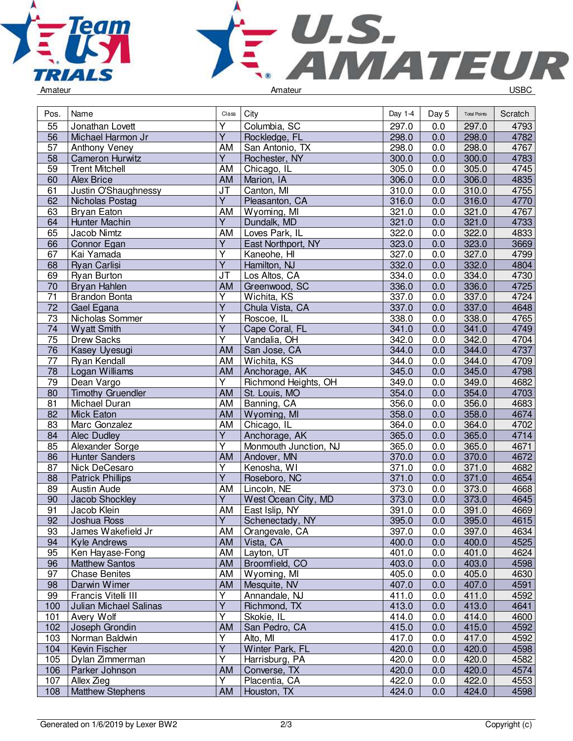



|  | Amateur |  |
|--|---------|--|
|  |         |  |

| Pos.                  | Name                          | Class                   | City                  | Day 1-4 | Day 5 | <b>Total Points</b> | Scratch      |
|-----------------------|-------------------------------|-------------------------|-----------------------|---------|-------|---------------------|--------------|
| 55                    | Jonathan Lovett               | $\overline{\mathsf{Y}}$ | Columbia, SC          | 297.0   | 0.0   | 297.0               | 4793         |
| 56                    | Michael Harmon Jr             | $\overline{Y}$          | Rockledge, FL         | 298.0   | 0.0   | 298.0               | 4782         |
| 57                    | Anthony Veney                 | AM                      | San Antonio, TX       | 298.0   | 0.0   | 298.0               | 4767         |
| 58                    | <b>Cameron Hurwitz</b>        | $\overline{Y}$          | Rochester, NY         | 300.0   | 0.0   | 300.0               | 4783         |
| 59                    | <b>Trent Mitchell</b>         | AM                      | Chicago, IL           | 305.0   | 0.0   | 305.0               | 4745         |
| 60                    | <b>Alex Brice</b>             | AM                      | Marion, IA            | 306.0   | 0.0   | 306.0               | 4835         |
| 61                    | Justin O'Shaughnessy          | <b>JT</b>               | Canton, MI            | 310.0   | 0.0   | 310.0               | 4755         |
| 62                    | Nicholas Postag               | $\overline{Y}$          | Pleasanton, CA        | 316.0   | 0.0   | 316.0               | 4770         |
| 63                    | Bryan Eaton                   | AM                      | Wyoming, MI           | 321.0   | 0.0   | 321.0               | 4767         |
| 64                    | Hunter Machin                 | $\overline{Y}$          | Dundalk, MD           | 321.0   | 0.0   | 321.0               | 4733         |
| 65                    | Jacob Nimtz                   | AM                      | Loves Park, IL        | 322.0   | 0.0   | 322.0               | 4833         |
| 66                    | Connor Egan                   | $\overline{Y}$          | East Northport, NY    | 323.0   | 0.0   | 323.0               | 3669         |
| 67                    | Kai Yamada                    | $\overline{\mathsf{Y}}$ | Kaneohe, HI           | 327.0   | 0.0   | 327.0               | 4799         |
| 68                    | <b>Ryan Carlisi</b>           | $\overline{Y}$          | Hamilton, NJ          | 332.0   | 0.0   | 332.0               | 4804         |
| 69                    | <b>Ryan Burton</b>            | JT                      | Los Altos, CA         | 334.0   | 0.0   | 334.0               | 4730         |
| 70                    | Bryan Hahlen                  | AM                      | Greenwood, SC         | 336.0   | 0.0   | 336.0               | 4725         |
| 71                    | <b>Brandon Bonta</b>          | Υ                       | Wichita, KS           | 337.0   | 0.0   | 337.0               | 4724         |
| $\overline{72}$       | Gael Egana                    | $\overline{\mathsf{Y}}$ | Chula Vista, CA       | 337.0   | 0.0   | 337.0               | 4648         |
| 73                    | Nicholas Sommer               | $\overline{\mathsf{Y}}$ | Roscoe, IL            | 338.0   | 0.0   | 338.0               | 4765         |
| 74                    | <b>Wyatt Smith</b>            | $\overline{Y}$          | Cape Coral, FL        | 341.0   | 0.0   | 341.0               | 4749         |
| 75                    | Drew Sacks                    | Υ                       |                       | 342.0   | 0.0   |                     |              |
|                       |                               |                         | Vandalia, OH          |         |       | 342.0               | 4704<br>4737 |
| 76<br>$\overline{77}$ | Kasey Uyesugi                 | AM                      | San Jose, CA          | 344.0   | 0.0   | 344.0               |              |
|                       | Ryan Kendall                  | AM                      | Wichita, KS           | 344.0   | 0.0   | 344.0               | 4709         |
| $\overline{78}$       | Logan Williams                | AM                      | Anchorage, AK         | 345.0   | 0.0   | 345.0               | 4798         |
| 79                    | Dean Vargo                    | $\overline{Y}$          | Richmond Heights, OH  | 349.0   | 0.0   | 349.0               | 4682         |
| 80                    | <b>Timothy Gruendler</b>      | <b>AM</b>               | St. Louis, MO         | 354.0   | 0.0   | 354.0               | 4703         |
| 81                    | Michael Duran                 | AM                      | Banning, CA           | 356.0   | 0.0   | 356.0               | 4683         |
| 82                    | <b>Mick Eaton</b>             | AM                      | Wyoming, MI           | 358.0   | 0.0   | 358.0               | 4674         |
| 83                    | Marc Gonzalez                 | AM                      | Chicago, IL           | 364.0   | 0.0   | 364.0               | 4702         |
| 84                    | Alec Dudley                   | $\overline{Y}$          | Anchorage, AK         | 365.0   | 0.0   | 365.0               | 4714         |
| 85                    | Alexander Sorge               | Υ                       | Monmouth Junction, NJ | 365.0   | 0.0   | 365.0               | 4671         |
| 86                    | <b>Hunter Sanders</b>         | AM                      | Andover, MN           | 370.0   | 0.0   | 370.0               | 4672         |
| 87                    | Nick DeCesaro                 | $\overline{Y}$          | Kenosha, WI           | 371.0   | 0.0   | 371.0               | 4682         |
| 88                    | <b>Patrick Phillips</b>       | $\overline{Y}$          | Roseboro, NC          | 371.0   | 0.0   | 371.0               | 4654         |
| 89                    | Austin Aude                   | AM                      | Lincoln, NE           | 373.0   | 0.0   | 373.0               | 4668         |
| 90                    | Jacob Shockley                | Y                       | West Ocean City, MD   | 373.0   | 0.0   | 373.0               | 4645         |
| 91                    | Jacob Klein                   | AM                      | East Islip, NY        | 391.0   | 0.0   | 391.0               | 4669         |
| 92                    | Joshua Ross                   | $\overline{Y}$          | Schenectady, NY       | 395.0   | 0.0   | 395.0               | 4615         |
| 93                    | James Wakefield Jr            |                         | AM   Orangevale, CA   | 397.0   | 0.0   | 397.0               | 4634         |
| 94                    | Kyle Andrews                  | AM                      | Vista, CA             | 400.0   | 0.0   | 400.0               | 4525         |
| 95                    | Ken Hayase-Fong               | AM                      | Layton, UT            | 401.0   | 0.0   | 401.0               | 4624         |
| 96                    | <b>Matthew Santos</b>         | AM                      | Broomfield, CO        | 403.0   | 0.0   | 403.0               | 4598         |
| 97                    | <b>Chase Benites</b>          | AM                      | Wyoming, MI           | 405.0   | 0.0   | 405.0               | 4630         |
| 98                    | Darwin Wimer                  | AM                      | Mesquite, NV          | 407.0   | 0.0   | 407.0               | 4591         |
| 99                    | Francis Vitelli III           | Υ                       | Annandale, NJ         | 411.0   | 0.0   | 411.0               | 4592         |
| 100                   | <b>Julian Michael Salinas</b> | $\overline{Y}$          | Richmond, TX          | 413.0   | 0.0   | 413.0               | 4641         |
| 101                   | Avery Wolf                    | Y                       | Skokie, IL            | 414.0   | 0.0   | 414.0               | 4600         |
| 102                   | Joseph Grondin                | <b>AM</b>               | San Pedro, CA         | 415.0   | 0.0   | 415.0               | 4592         |
| 103                   | Norman Baldwin                | $\overline{\mathsf{Y}}$ | Alto, MI              | 417.0   | 0.0   | 417.0               | 4592         |
| 104                   | Kevin Fischer                 | Ÿ                       | Winter Park, FL       | 420.0   | 0.0   | 420.0               | 4598         |
| 105                   | Dylan Zimmerman               | Y                       | Harrisburg, PA        | 420.0   | 0.0   | 420.0               | 4582         |
| 106                   | Parker Johnson                | AM                      | Converse, TX          | 420.0   | 0.0   | 420.0               | 4574         |
| 107                   | Allex Zieg                    | $\overline{Y}$          | Placentia, CA         | 422.0   | 0.0   | 422.0               | 4553         |
| 108                   | <b>Matthew Stephens</b>       | AM                      | Houston, TX           | 424.0   | 0.0   | 424.0               | 4598         |
|                       |                               |                         |                       |         |       |                     |              |